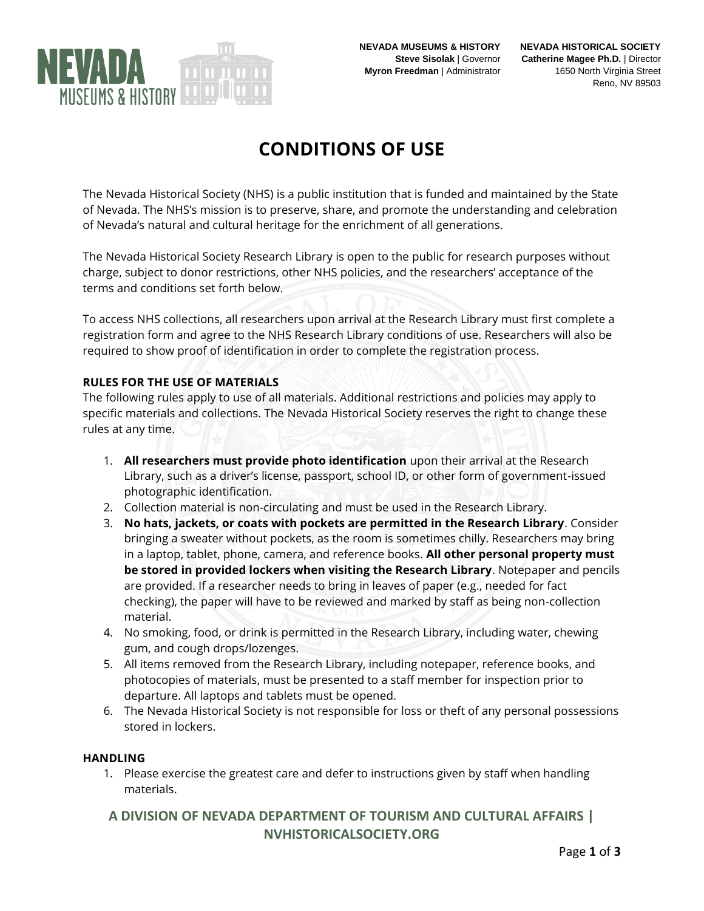

# **CONDITIONS OF USE**

The Nevada Historical Society (NHS) is a public institution that is funded and maintained by the State of Nevada. The NHS's mission is to preserve, share, and promote the understanding and celebration of Nevada's natural and cultural heritage for the enrichment of all generations.

The Nevada Historical Society Research Library is open to the public for research purposes without charge, subject to donor restrictions, other NHS policies, and the researchers' acceptance of the terms and conditions set forth below.

To access NHS collections, all researchers upon arrival at the Research Library must first complete a registration form and agree to the NHS Research Library conditions of use. Researchers will also be required to show proof of identification in order to complete the registration process.

## **RULES FOR THE USE OF MATERIALS**

The following rules apply to use of all materials. Additional restrictions and policies may apply to specific materials and collections. The Nevada Historical Society reserves the right to change these rules at any time.

- 1. **All researchers must provide photo identification** upon their arrival at the Research Library, such as a driver's license, passport, school ID, or other form of government-issued photographic identification.
- 2. Collection material is non-circulating and must be used in the Research Library.
- 3. **No hats, jackets, or coats with pockets are permitted in the Research Library**. Consider bringing a sweater without pockets, as the room is sometimes chilly. Researchers may bring in a laptop, tablet, phone, camera, and reference books. **All other personal property must be stored in provided lockers when visiting the Research Library**. Notepaper and pencils are provided. If a researcher needs to bring in leaves of paper (e.g., needed for fact checking), the paper will have to be reviewed and marked by staff as being non-collection material.
- 4. No smoking, food, or drink is permitted in the Research Library, including water, chewing gum, and cough drops/lozenges.
- 5. All items removed from the Research Library, including notepaper, reference books, and photocopies of materials, must be presented to a staff member for inspection prior to departure. All laptops and tablets must be opened.
- 6. The Nevada Historical Society is not responsible for loss or theft of any personal possessions stored in lockers.

#### **HANDLING**

1. Please exercise the greatest care and defer to instructions given by staff when handling materials.

# **A DIVISION OF NEVADA DEPARTMENT OF TOURISM AND CULTURAL AFFAIRS | NVHISTORICALSOCIETY.ORG**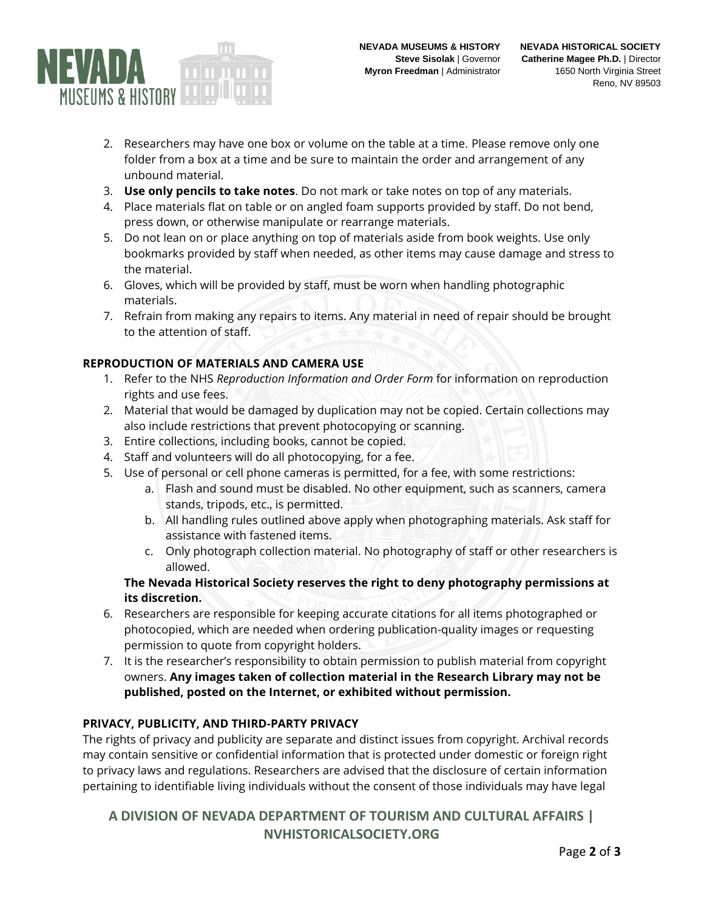

- 2. Researchers may have one box or volume on the table at a time. Please remove only one folder from a box at a time and be sure to maintain the order and arrangement of any unbound material.
- 3. **Use only pencils to take notes**. Do not mark or take notes on top of any materials.
- 4. Place materials flat on table or on angled foam supports provided by staff. Do not bend, press down, or otherwise manipulate or rearrange materials.
- 5. Do not lean on or place anything on top of materials aside from book weights. Use only bookmarks provided by staff when needed, as other items may cause damage and stress to the material.
- 6. Gloves, which will be provided by staff, must be worn when handling photographic materials.
- 7. Refrain from making any repairs to items. Any material in need of repair should be brought to the attention of staff.

## **REPRODUCTION OF MATERIALS AND CAMERA USE**

- 1. Refer to the NHS *Reproduction Information and Order Form* for information on reproduction rights and use fees.
- 2. Material that would be damaged by duplication may not be copied. Certain collections may also include restrictions that prevent photocopying or scanning.
- 3. Entire collections, including books, cannot be copied.
- 4. Staff and volunteers will do all photocopying, for a fee.
- 5. Use of personal or cell phone cameras is permitted, for a fee, with some restrictions:
	- a. Flash and sound must be disabled. No other equipment, such as scanners, camera stands, tripods, etc., is permitted.
	- b. All handling rules outlined above apply when photographing materials. Ask staff for assistance with fastened items.
	- c. Only photograph collection material. No photography of staff or other researchers is allowed.

#### **The Nevada Historical Society reserves the right to deny photography permissions at its discretion.**

- 6. Researchers are responsible for keeping accurate citations for all items photographed or photocopied, which are needed when ordering publication-quality images or requesting permission to quote from copyright holders.
- 7. It is the researcher's responsibility to obtain permission to publish material from copyright owners. **Any images taken of collection material in the Research Library may not be published, posted on the Internet, or exhibited without permission.**

## **PRIVACY, PUBLICITY, AND THIRD-PARTY PRIVACY**

The rights of privacy and publicity are separate and distinct issues from copyright. Archival records may contain sensitive or confidential information that is protected under domestic or foreign right to privacy laws and regulations. Researchers are advised that the disclosure of certain information pertaining to identifiable living individuals without the consent of those individuals may have legal

# **A DIVISION OF NEVADA DEPARTMENT OF TOURISM AND CULTURAL AFFAIRS | NVHISTORICALSOCIETY.ORG**